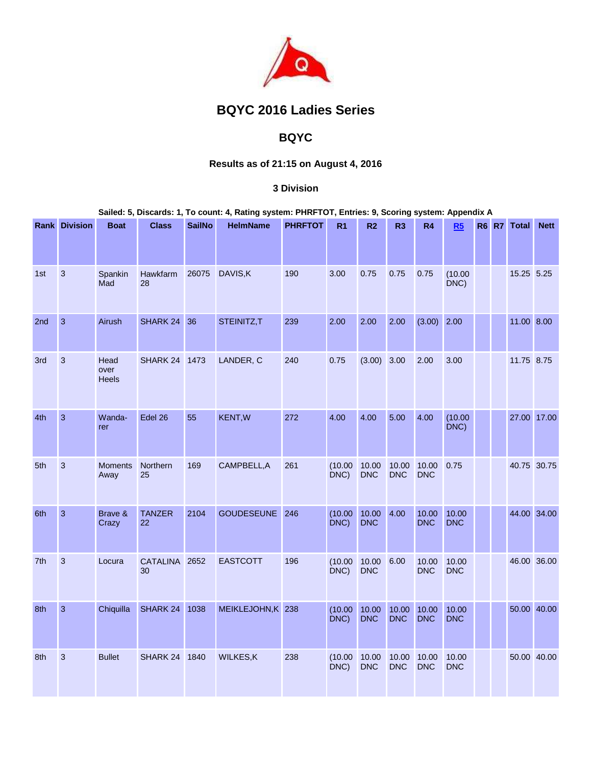

# **BQYC 2016 Ladies Series**

## **BQYC**

## **Results as of 21:15 on August 4, 2016**

### **3 Division**

#### **Sailed: 5, Discards: 1, To count: 4, Rating system: PHRFTOT, Entries: 9, Scoring system: Appendix A**

|                 | <b>Rank Division</b> | <b>Boat</b>                  | <b>Class</b>        | <b>SailNo</b> | <b>HelmName</b>   | <b>PHRFTOT</b> | R <sub>1</sub>  | R <sub>2</sub>      | R <sub>3</sub>      | R4                  | R5                  | <b>R6 R7</b> | <b>Total</b> | <b>Nett</b> |
|-----------------|----------------------|------------------------------|---------------------|---------------|-------------------|----------------|-----------------|---------------------|---------------------|---------------------|---------------------|--------------|--------------|-------------|
|                 |                      |                              |                     |               |                   |                |                 |                     |                     |                     |                     |              |              |             |
| 1st             | 3                    | Spankin<br>Mad               | Hawkfarm<br>28      | 26075         | DAVIS, K          | 190            | 3.00            | 0.75                | 0.75                | 0.75                | (10.00)<br>DNC)     |              | 15.25 5.25   |             |
| 2 <sub>nd</sub> | $\overline{3}$       | Airush                       | SHARK 24            | 36            | STEINITZ,T        | 239            | 2.00            | 2.00                | 2.00                | $(3.00)$ 2.00       |                     |              | 11.00 8.00   |             |
| 3rd             | 3                    | Head<br>over<br><b>Heels</b> | SHARK 24 1473       |               | LANDER, C         | 240            | 0.75            | (3.00)              | 3.00                | 2.00                | 3.00                |              | 11.75 8.75   |             |
| 4th             | $\overline{3}$       | Wanda-<br>rer                | Edel 26             | 55            | <b>KENT, W</b>    | 272            | 4.00            | 4.00                | 5.00                | 4.00                | (10.00)<br>DNC)     |              | 27.00 17.00  |             |
| 5th             | 3                    | <b>Moments</b><br>Away       | Northern<br>25      | 169           | CAMPBELL, A       | 261            | (10.00)<br>DNC) | 10.00<br><b>DNC</b> | 10.00<br><b>DNC</b> | 10.00<br><b>DNC</b> | 0.75                |              | 40.75 30.75  |             |
| 6th             | $\overline{3}$       | Brave &<br>Crazy             | <b>TANZER</b><br>22 | 2104          | <b>GOUDESEUNE</b> | 246            | (10.00)<br>DNC) | 10.00<br><b>DNC</b> | 4.00                | 10.00<br><b>DNC</b> | 10.00<br><b>DNC</b> |              | 44.00 34.00  |             |
| 7th             | 3                    | Locura                       | CATALINA 2652<br>30 |               | <b>EASTCOTT</b>   | 196            | (10.00)<br>DNC) | 10.00<br><b>DNC</b> | 6.00                | 10.00<br><b>DNC</b> | 10.00<br><b>DNC</b> |              | 46.00 36.00  |             |
| 8th             | 3                    | Chiquilla                    | SHARK 24            | 1038          | MEIKLEJOHN,K 238  |                | (10.00)<br>DNC) | 10.00<br><b>DNC</b> | 10.00<br><b>DNC</b> | 10.00<br><b>DNC</b> | 10.00<br><b>DNC</b> |              | 50.00 40.00  |             |
| 8th             | 3                    | <b>Bullet</b>                | SHARK 24 1840       |               | <b>WILKES,K</b>   | 238            | (10.00)<br>DNC) | 10.00<br><b>DNC</b> | 10.00<br><b>DNC</b> | 10.00<br><b>DNC</b> | 10.00<br><b>DNC</b> |              |              | 50.00 40.00 |